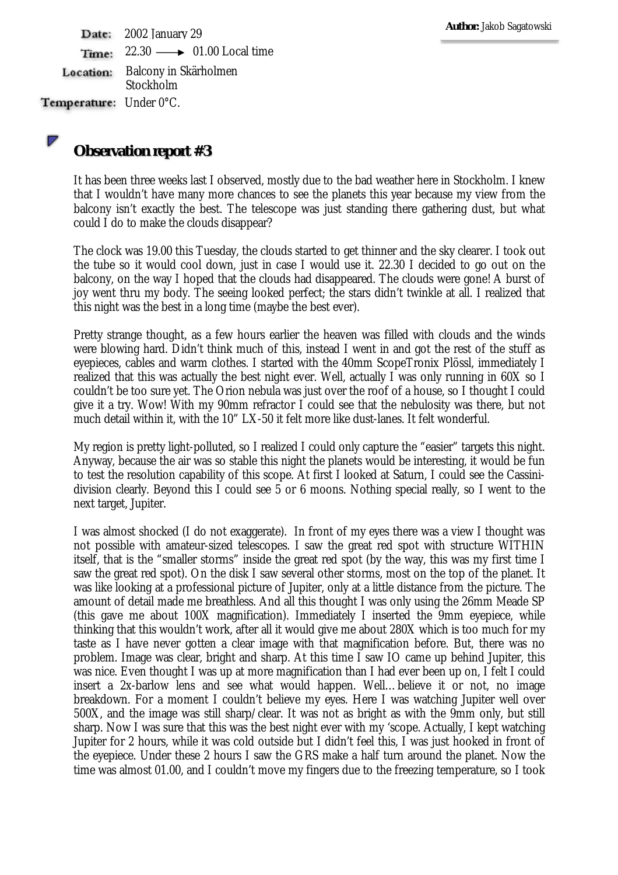Date: 2002 January 29  $22.30 \longrightarrow 01.00$  Local time Time: Balcony in Skärholmen Location: Stockholm Temperature: Under 0°C.

## **Observation report #3**

It has been three weeks last I observed, mostly due to the bad weather here in Stockholm. I knew that I wouldn't have many more chances to see the planets this year because my view from the balcony isn't exactly the best. The telescope was just standing there gathering dust, but what could I do to make the clouds disappear?

The clock was 19.00 this Tuesday, the clouds started to get thinner and the sky clearer. I took out the tube so it would cool down, just in case I would use it. 22.30 I decided to go out on the balcony, on the way I hoped that the clouds had disappeared. The clouds were gone! A burst of joy went thru my body. The seeing looked perfect; the stars didn't twinkle at all. I realized that this night was the best in a long time (maybe the best ever).

Pretty strange thought, as a few hours earlier the heaven was filled with clouds and the winds were blowing hard. Didn't think much of this, instead I went in and got the rest of the stuff as eyepieces, cables and warm clothes. I started with the 40mm ScopeTronix Plössl, immediately I realized that this was actually the best night ever. Well, actually I was only running in 60X so I couldn't be too sure yet. The Orion nebula was just over the roof of a house, so I thought I could give it a try. Wow! With my 90mm refractor I could see that the nebulosity was there, but not much detail within it, with the 10" LX-50 it felt more like dust-lanes. It felt wonderful.

My region is pretty light-polluted, so I realized I could only capture the "easier" targets this night. Anyway, because the air was so stable this night the planets would be interesting, it would be fun to test the resolution capability of this scope. At first I looked at Saturn, I could see the Cassinidivision clearly. Beyond this I could see 5 or 6 moons. Nothing special really, so I went to the next target, Jupiter.

I was almost shocked (I do not exaggerate). In front of my eyes there was a view I thought was not possible with amateur-sized telescopes. I saw the great red spot with structure WITHIN itself, that is the "smaller storms" inside the great red spot (by the way, this was my first time I saw the great red spot). On the disk I saw several other storms, most on the top of the planet. It was like looking at a professional picture of Jupiter, only at a little distance from the picture. The amount of detail made me breathless. And all this thought I was only using the 26mm Meade SP (this gave me about 100X magnification). Immediately I inserted the 9mm eyepiece, while thinking that this wouldn't work, after all it would give me about 280X which is too much for my taste as I have never gotten a clear image with that magnification before. But, there was no problem. Image was clear, bright and sharp. At this time I saw IO came up behind Jupiter, this was nice. Even thought I was up at more magnification than I had ever been up on, I felt I could insert a 2x-barlow lens and see what would happen. Well…believe it or not, no image breakdown. For a moment I couldn't believe my eyes. Here I was watching Jupiter well over 500X, and the image was still sharp/clear. It was not as bright as with the 9mm only, but still sharp. Now I was sure that this was the best night ever with my 'scope. Actually, I kept watching Jupiter for 2 hours, while it was cold outside but I didn't feel this, I was just hooked in front of the eyepiece. Under these 2 hours I saw the GRS make a half turn around the planet. Now the time was almost 01.00, and I couldn't move my fingers due to the freezing temperature, so I took